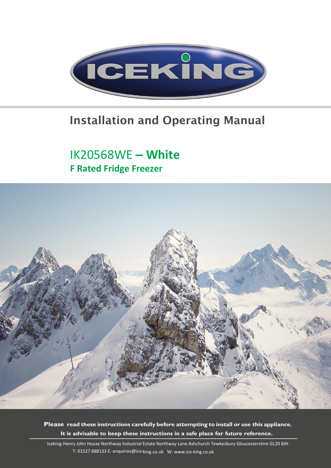

### Installation and Operating Manual

### IK20568WE – White F Rated Fridge Freezer



Please read these instructions carefully before attempting to install or use this appliance. It is advisable to keep these instructions in a safe place for future reference.

Iceking: Henry John House Northway Industrial Estate Northway Lane Ashchurch Tewkesbury Gloucestershire GL20 8JH T: 01527 888133 E: enquiries@ice-king.co.uk W: www.ice-king.co.uk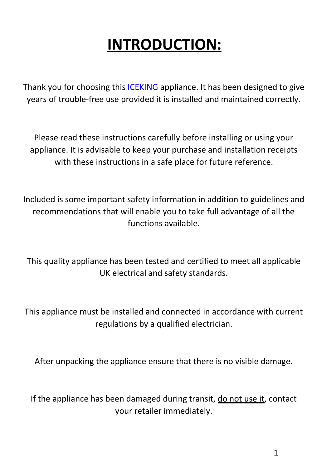# INTRODUCTION:

Thank you for choosing this ICEKING appliance. It has been designed to give years of trouble-free use provided it is installed and maintained correctly.

Please read these instructions carefully before installing or using your appliance. It is advisable to keep your purchase and installation receipts with these instructions in a safe place for future reference.

Included is some important safety information in addition to guidelines and recommendations that will enable you to take full advantage of all the functions available.

This quality appliance has been tested and certified to meet all applicable UK electrical and safety standards.

This appliance must be installed and connected in accordance with current regulations by a qualified electrician.

After unpacking the appliance ensure that there is no visible damage.

If the appliance has been damaged during transit, do not use it, contact your retailer immediately.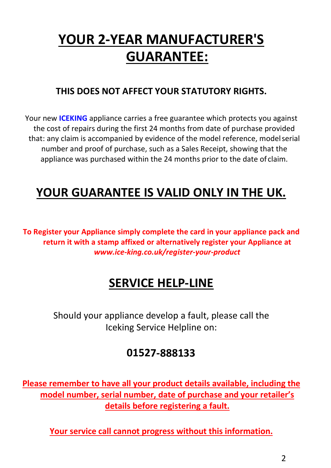## YOUR 2-YEAR MANUFACTURER'S GUARANTEE:

#### THIS DOES NOT AFFECT YOUR STATUTORY RIGHTS.

Your new **ICEKING** appliance carries a free guarantee which protects you against the cost of repairs during the first 24 months from date of purchase provided that: any claim is accompanied by evidence of the model reference, model serial number and proof of purchase, such as a Sales Receipt, showing that the appliance was purchased within the 24 months prior to the date of claim.

### YOUR GUARANTEE IS VALID ONLY IN THE UK.

To Register your Appliance simply complete the card in your appliance pack and return it with a stamp affixed or alternatively register your Appliance at *www.ice-king.co.uk/register-your-product*

### SERVICE HELP-LINE

Should your appliance develop a fault, please call the Iceking Service Helpline on:

#### 01527-888133

Please remember to have all your product details available, including the model number, serial number, date of purchase and your retailer's details before registering a fault.

Your service call cannot progress without this information.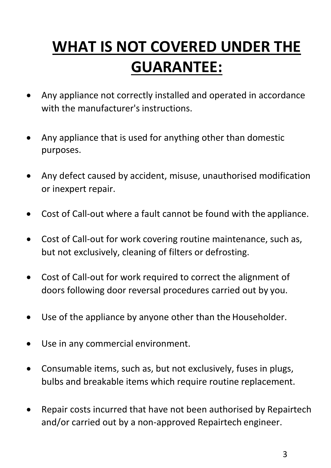# WHAT IS NOT COVERED UNDER THE GUARANTEE:

- Any appliance not correctly installed and operated in accordance with the manufacturer's instructions.
- Any appliance that is used for anything other than domestic purposes.
- Any defect caused by accident, misuse, unauthorised modification or inexpert repair.
- Cost of Call-out where a fault cannot be found with the appliance.
- Cost of Call-out for work covering routine maintenance, such as, but not exclusively, cleaning of filters or defrosting.
- Cost of Call-out for work required to correct the alignment of doors following door reversal procedures carried out by you.
- Use of the appliance by anyone other than the Householder.
- Use in any commercial environment.
- Consumable items, such as, but not exclusively, fuses in plugs, bulbs and breakable items which require routine replacement.
- Repair costs incurred that have not been authorised by Repairtech and/or carried out by a non-approved Repairtech engineer.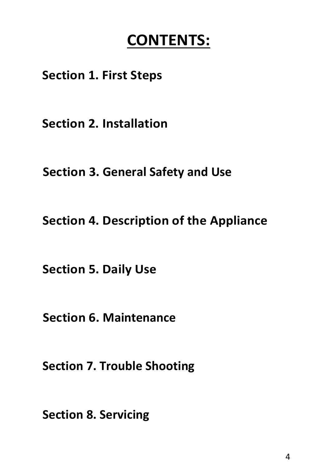## CONTENTS:

### Section 1. First Steps

Section 2. Installation

Section 3. General Safety and Use

Section 4. Description of the Appliance

Section 5. Daily Use

Section 6. Maintenance

Section 7. Trouble Shooting

Section 8. Servicing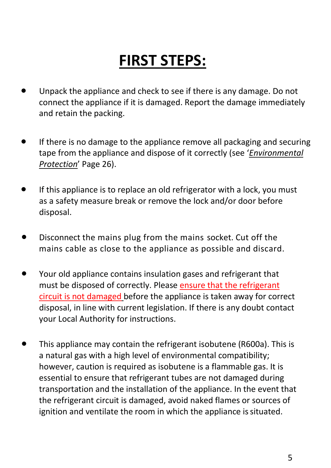# FIRST STEPS:

- Unpack the appliance and check to see if there is any damage. Do not connect the appliance if it is damaged. Report the damage immediately and retain the packing.
- If there is no damage to the appliance remove all packaging and securing tape from the appliance and dispose of it correctly (see '*Environmental Protection*' Page 26).
- If this appliance is to replace an old refrigerator with a lock, you must as a safety measure break or remove the lock and/or door before disposal.
- **•** Disconnect the mains plug from the mains socket. Cut off the mains cable as close to the appliance as possible and discard.
- Your old appliance contains insulation gases and refrigerant that must be disposed of correctly. Please ensure that the refrigerant circuit is not damaged before the appliance is taken away for correct disposal, in line with current legislation. If there is any doubt contact your Local Authority for instructions.
- This appliance may contain the refrigerant isobutene (R600a). This is a natural gas with a high level of environmental compatibility; however, caution is required as isobutene is a flammable gas. It is essential to ensure that refrigerant tubes are not damaged during transportation and the installation of the appliance. In the event that the refrigerant circuit is damaged, avoid naked flames or sources of ignition and ventilate the room in which the appliance is situated.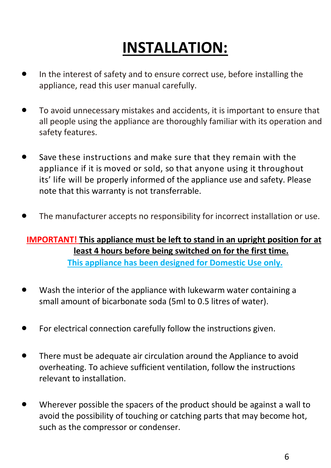# INSTALLATION:

- In the interest of safety and to ensure correct use, before installing the appliance, read this user manual carefully.
- To avoid unnecessary mistakes and accidents, it is important to ensure that all people using the appliance are thoroughly familiar with its operation and safety features.
- Save these instructions and make sure that they remain with the appliance if it is moved or sold, so that anyone using it throughout its' life will be properly informed of the appliance use and safety. Please note that this warranty is not transferrable.
- The manufacturer accepts no responsibility for incorrect installation or use.

#### IMPORTANT! This appliance must be left to stand in an upright position for at least 4 hours before being switched on for the first time. This appliance has been designed for Domestic Use only.

- Wash the interior of the appliance with lukewarm water containing a small amount of bicarbonate soda (5ml to 0.5 litres of water).
- For electrical connection carefully follow the instructions given.
- There must be adequate air circulation around the Appliance to avoid overheating. To achieve sufficient ventilation, follow the instructions relevant to installation.
- Wherever possible the spacers of the product should be against a wall to avoid the possibility of touching or catching parts that may become hot, such as the compressor or condenser.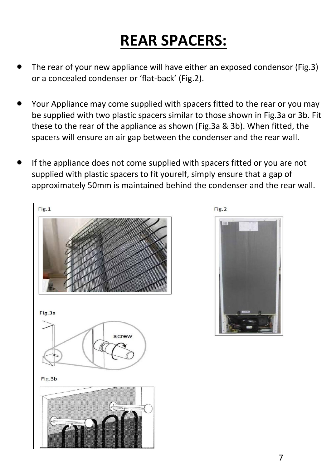# REAR SPACERS:

- The rear of your new appliance will have either an exposed condensor (Fig.3) or a concealed condenser or 'flat-back' (Fig.2).
- Your Appliance may come supplied with spacers fitted to the rear or you may be supplied with two plastic spacers similar to those shown in Fig.3a or 3b. Fit these to the rear of the appliance as shown (Fig.3a & 3b). When fitted, the spacers will ensure an air gap between the condenser and the rear wall.
- If the appliance does not come supplied with spacers fitted or you are not supplied with plastic spacers to fit yourelf, simply ensure that a gap of approximately 50mm is maintained behind the condenser and the rear wall.

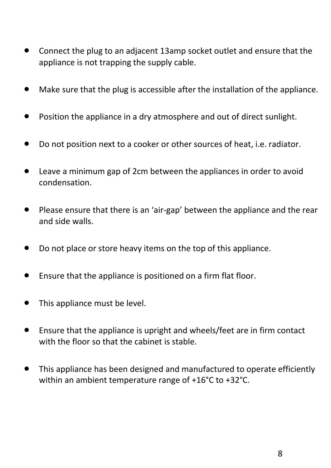- Connect the plug to an adjacent 13amp socket outlet and ensure that the appliance is not trapping the supply cable.
- Make sure that the plug is accessible after the installation of the appliance.
- Position the appliance in a dry atmosphere and out of direct sunlight.
- Do not position next to a cooker or other sources of heat, i.e. radiator.
- Leave a minimum gap of 2cm between the appliances in order to avoid condensation.
- Please ensure that there is an 'air-gap' between the appliance and the rear and side walls.
- Do not place or store heavy items on the top of this appliance.
- Ensure that the appliance is positioned on a firm flat floor.
- This appliance must be level.
- Ensure that the appliance is upright and wheels/feet are in firm contact with the floor so that the cabinet is stable.
- This appliance has been designed and manufactured to operate efficiently within an ambient temperature range of +16°C to +32°C.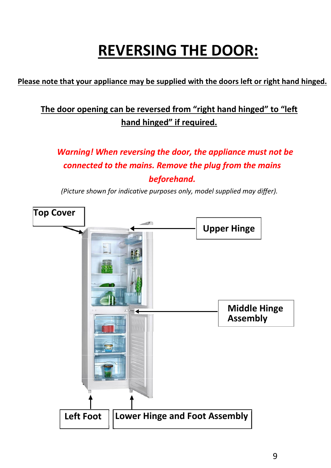# REVERSING THE DOOR:

#### Please note that your appliance may be supplied with the doors left or right hand hinged.

#### The door opening can be reversed from "right hand hinged" to "left hand hinged" if required.

*Warning! When reversing the door, the appliance must not be connected to the mains. Remove the plug from the mains beforehand.* 

*(Picture shown for indicative purposes only, model supplied may differ).* 

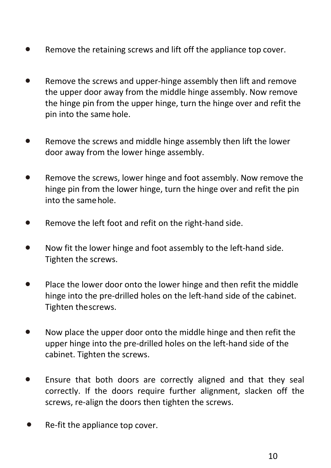- Remove the retaining screws and lift off the appliance top cover.
- Remove the screws and upper-hinge assembly then lift and remove the upper door away from the middle hinge assembly. Now remove the hinge pin from the upper hinge, turn the hinge over and refit the pin into the same hole.
- Remove the screws and middle hinge assembly then lift the lower door away from the lower hinge assembly.
- Remove the screws, lower hinge and foot assembly. Now remove the hinge pin from the lower hinge, turn the hinge over and refit the pin into the same hole.
- Remove the left foot and refit on the right-hand side.
- Now fit the lower hinge and foot assembly to the left-hand side. Tighten the screws.
- Place the lower door onto the lower hinge and then refit the middle hinge into the pre-drilled holes on the left-hand side of the cabinet. Tighten the screws.
- Now place the upper door onto the middle hinge and then refit the upper hinge into the pre-drilled holes on the left-hand side of the cabinet. Tighten the screws.
- Ensure that both doors are correctly aligned and that they seal correctly. If the doors require further alignment, slacken off the screws, re-align the doors then tighten the screws.
- Re-fit the appliance top cover.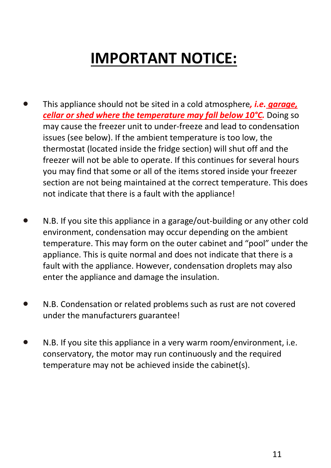# IMPORTANT NOTICE:

- This appliance should not be sited in a cold atmosphere*, i.e. garage, cellar or shed where the temperature may fall below 10°C.* Doing so may cause the freezer unit to under-freeze and lead to condensation issues (see below). If the ambient temperature is too low, the thermostat (located inside the fridge section) will shut off and the freezer will not be able to operate. If this continues for several hours you may find that some or all of the items stored inside your freezer section are not being maintained at the correct temperature. This does not indicate that there is a fault with the appliance!
- N.B. If you site this appliance in a garage/out-building or any other cold environment, condensation may occur depending on the ambient temperature. This may form on the outer cabinet and "pool" under the appliance. This is quite normal and does not indicate that there is a fault with the appliance. However, condensation droplets may also enter the appliance and damage the insulation.
- N.B. Condensation or related problems such as rust are not covered under the manufacturers guarantee!
- N.B. If you site this appliance in a very warm room/environment, i.e. conservatory, the motor may run continuously and the required temperature may not be achieved inside the cabinet(s).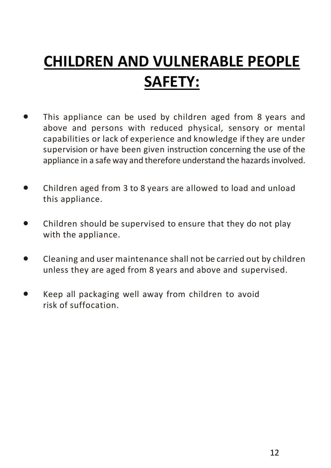# CHILDREN AND VULNERABLE PEOPLE SAFETY:

- This appliance can be used by children aged from 8 years and above and persons with reduced physical, sensory or mental capabilities or lack of experience and knowledge if they are under supervision or have been given instruction concerning the use of the appliance in a safe way and therefore understand the hazards involved.
- Children aged from 3 to 8 years are allowed to load and unload this appliance.
- Children should be supervised to ensure that they do not play with the appliance.
- Cleaning and user maintenance shall not be carried out by children unless they are aged from 8 years and above and supervised.
- Keep all packaging well away from children to avoid risk of suffocation.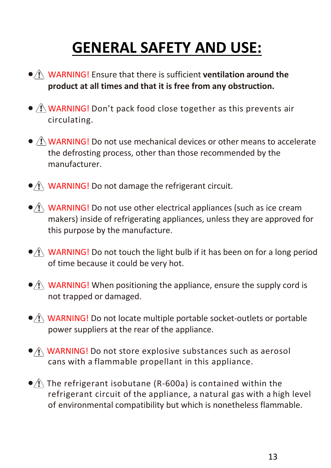# GENERAL SAFETY AND USE:

- $\bullet$  N WARNING! Ensure that there is sufficient ventilation around the product at all times and that it is free from any obstruction.
- $\triangle$  WARNING! Don't pack food close together as this prevents air circulating.
- $\bullet$   $\Lambda$  WARNING! Do not use mechanical devices or other means to accelerate the defrosting process, other than those recommended by the manufacturer.
- $\bullet$  ( WARNING! Do not damage the refrigerant circuit.
- $\bullet$   $\wedge$  WARNING! Do not use other electrical appliances (such as ice cream makers) inside of refrigerating appliances, unless they are approved for this purpose by the manufacture.
- $\hat{A}$  WARNING! Do not touch the light bulb if it has been on for a long period of time because it could be very hot.
- $\bullet$   $\wedge$  WARNING! When positioning the appliance, ensure the supply cord is not trapped or damaged.
- $\bigwedge$  WARNING! Do not locate multiple portable socket-outlets or portable power suppliers at the rear of the appliance.
- $\bullet$   $\wedge$  WARNING! Do not store explosive substances such as aerosol cans with a flammable propellant in this appliance.
- $\bigcirc$  The refrigerant isobutane (R-600a) is contained within the refrigerant circuit of the appliance, a natural gas with a high level of environmental compatibility but which is nonetheless flammable.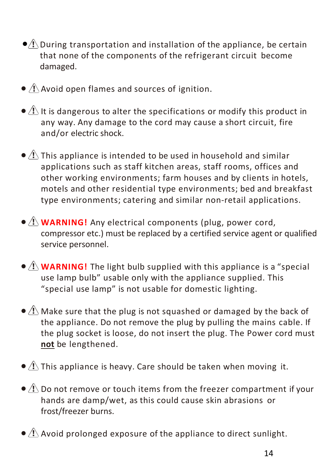- $\bigcirc$  During transportation and installation of the appliance, be certain that none of the components of the refrigerant circuit become damaged.
- $\bullet$   $\Lambda$  Avoid open flames and sources of ignition.
- $\bullet$   $\Lambda$  It is dangerous to alter the specifications or modify this product in any way. Any damage to the cord may cause a short circuit, fire and/or electric shock.
- $\bullet$   $\triangle$  This appliance is intended to be used in household and similar applications such as staff kitchen areas, staff rooms, offices and other working environments; farm houses and by clients in hotels, motels and other residential type environments; bed and breakfast type environments; catering and similar non-retail applications.
- $\bullet$   $\Lambda$  **WARNING!** Any electrical components (plug, power cord, compressor etc.) must be replaced by a certified service agent or qualified service personnel.
- $\bullet$   $\Lambda$  **WARNING!** The light bulb supplied with this appliance is a "special" use lamp bulb" usable only with the appliance supplied. This "special use lamp" is not usable for domestic lighting.
- $\bullet$   $\Lambda$  Make sure that the plug is not squashed or damaged by the back of the appliance. Do not remove the plug by pulling the mains cable. If the plug socket is loose, do not insert the plug. The Power cord must not be lengthened.
- $\bullet$   $\overline{A}$  This appliance is heavy. Care should be taken when moving it.
- $\bullet$   $\Lambda$  Do not remove or touch items from the freezer compartment if your hands are damp/wet, as this could cause skin abrasions or frost/freezer burns.
- $\bullet$   $\triangle$  Avoid prolonged exposure of the appliance to direct sunlight.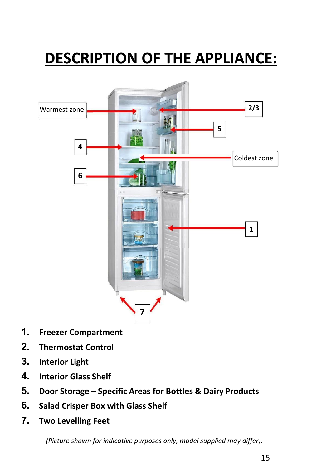# DESCRIPTION OF THE APPLIANCE:



- 1. Freezer Compartment
- 2. Thermostat Control
- 3. Interior Light
- 4. Interior Glass Shelf
- 5. Door Storage Specific Areas for Bottles & Dairy Products
- 6. Salad Crisper Box with Glass Shelf
- 7. Two Levelling Feet

*(Picture shown for indicative purposes only, model supplied may differ).*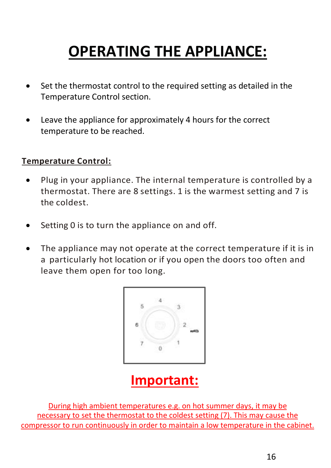# OPERATING THE APPLIANCE:

- Set the thermostat control to the required setting as detailed in the Temperature Control section.
- Leave the appliance for approximately 4 hours for the correct temperature to be reached.

#### Temperature Control:

- Plug in your appliance. The internal temperature is controlled by a thermostat. There are 8 settings. 1 is the warmest setting and 7 is the coldest.
- Setting 0 is to turn the appliance on and off.
- The appliance may not operate at the correct temperature if it is in a particularly hot location or if you open the doors too often and leave them open for too long.



## Important:

During high ambient temperatures e.g. on hot summer days, it may be necessary to set the thermostat to the coldest setting (7). This may cause the compressor to run continuously in order to maintain a low temperature in the cabinet.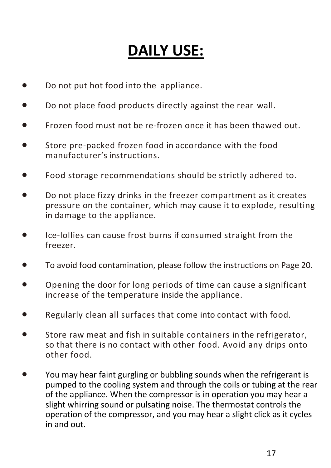## DAILY USE:

- Do not put hot food into the appliance.
- Do not place food products directly against the rear wall.
- Frozen food must not be re-frozen once it has been thawed out.
- Store pre-packed frozen food in accordance with the food manufacturer's instructions.
- Food storage recommendations should be strictly adhered to.
- Do not place fizzy drinks in the freezer compartment as it creates pressure on the container, which may cause it to explode, resulting in damage to the appliance.
- Ice-lollies can cause frost burns if consumed straight from the freezer.
- To avoid food contamination, please follow the instructions on Page 20.
- Opening the door for long periods of time can cause a significant increase of the temperature inside the appliance.
- Regularly clean all surfaces that come into contact with food.
- Store raw meat and fish in suitable containers in the refrigerator, so that there is no contact with other food. Avoid any drips onto other food.
- You may hear faint gurgling or bubbling sounds when the refrigerant is pumped to the cooling system and through the coils or tubing at the rear of the appliance. When the compressor is in operation you may hear a slight whirring sound or pulsating noise. The thermostat controls the operation of the compressor, and you may hear a slight click as it cycles in and out.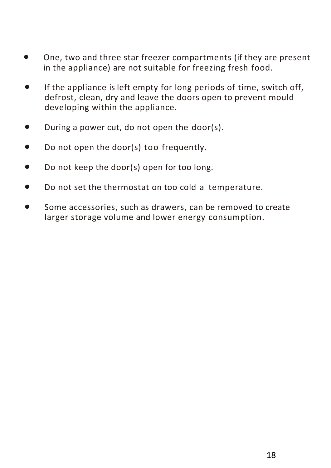- One, two and three star freezer compartments (if they are present in the appliance) are not suitable for freezing fresh food.
- If the appliance is left empty for long periods of time, switch off, defrost, clean, dry and leave the doors open to prevent mould developing within the appliance.
- During a power cut, do not open the door(s).
- Do not open the door(s) too frequently.
- Do not keep the door(s) open for too long.
- Do not set the thermostat on too cold a temperature.
- Some accessories, such as drawers, can be removed to create larger storage volume and lower energy consumption.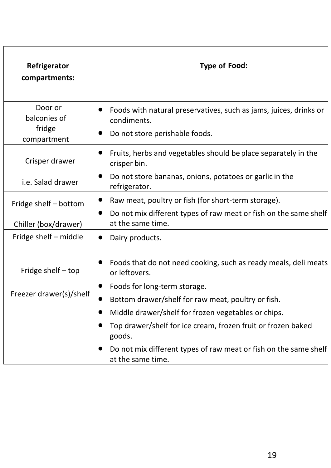| Refrigerator<br>compartments:                    | <b>Type of Food:</b>                                                                                                                                                                                                |
|--------------------------------------------------|---------------------------------------------------------------------------------------------------------------------------------------------------------------------------------------------------------------------|
| Door or<br>balconies of<br>fridge<br>compartment | Foods with natural preservatives, such as jams, juices, drinks or<br>condiments.<br>Do not store perishable foods.                                                                                                  |
| Crisper drawer                                   | Fruits, herbs and vegetables should be place separately in the<br>crisper bin.                                                                                                                                      |
| i.e. Salad drawer                                | Do not store bananas, onions, potatoes or garlic in the<br>refrigerator.                                                                                                                                            |
| Fridge shelf – bottom<br>Chiller (box/drawer)    | Raw meat, poultry or fish (for short-term storage).<br>Do not mix different types of raw meat or fish on the same shelf<br>at the same time.                                                                        |
| Fridge shelf – middle                            | Dairy products.                                                                                                                                                                                                     |
| Fridge shelf $-$ top                             | Foods that do not need cooking, such as ready meals, deli meats<br>or leftovers.                                                                                                                                    |
| Freezer drawer(s)/shelf                          | Foods for long-term storage.<br>Bottom drawer/shelf for raw meat, poultry or fish.<br>Middle drawer/shelf for frozen vegetables or chips.<br>Top drawer/shelf for ice cream, frozen fruit or frozen baked<br>goods. |
|                                                  | Do not mix different types of raw meat or fish on the same shelf<br>at the same time.                                                                                                                               |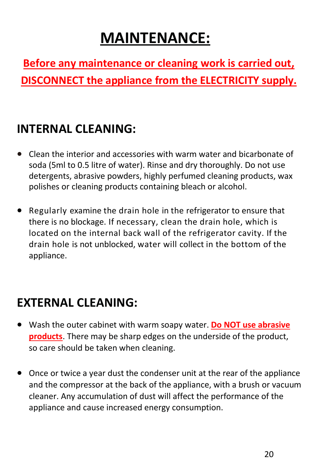## MAINTENANCE:

Before any maintenance or cleaning work is carried out, DISCONNECT the appliance from the ELECTRICITY supply.

## INTERNAL CLEANING:

- Clean the interior and accessories with warm water and bicarbonate of soda (5ml to 0.5 litre of water). Rinse and dry thoroughly. Do not use detergents, abrasive powders, highly perfumed cleaning products, wax polishes or cleaning products containing bleach or alcohol.
- Regularly examine the drain hole in the refrigerator to ensure that there is no blockage. If necessary, clean the drain hole, which is located on the internal back wall of the refrigerator cavity. If the drain hole is not unblocked, water will collect in the bottom of the appliance.

## EXTERNAL CLEANING:

- Wash the outer cabinet with warm soapy water. Do NOT use abrasive **products**. There may be sharp edges on the underside of the product, so care should be taken when cleaning.
- Once or twice a year dust the condenser unit at the rear of the appliance and the compressor at the back of the appliance, with a brush or vacuum cleaner. Any accumulation of dust will affect the performance of the appliance and cause increased energy consumption.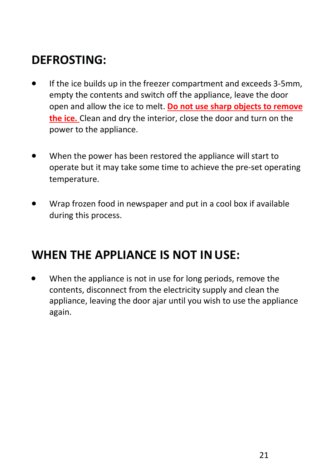## DEFROSTING:

- If the ice builds up in the freezer compartment and exceeds 3-5mm, empty the contents and switch off the appliance, leave the door open and allow the ice to melt. Do not use sharp objects to remove the ice. Clean and dry the interior, close the door and turn on the power to the appliance.
- When the power has been restored the appliance will start to operate but it may take some time to achieve the pre-set operating temperature.
- Wrap frozen food in newspaper and put in a cool box if available during this process.

### WHEN THE APPLIANCE IS NOT IN USE:

 When the appliance is not in use for long periods, remove the contents, disconnect from the electricity supply and clean the appliance, leaving the door ajar until you wish to use the appliance again.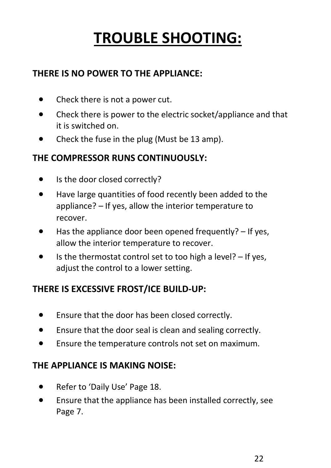# TROUBLE SHOOTING:

#### THERE IS NO POWER TO THE APPLIANCE:

- Check there is not a power cut.
- Check there is power to the electric socket/appliance and that it is switched on.
- Check the fuse in the plug (Must be 13 amp).

#### THE COMPRESSOR RUNS CONTINUOUSLY:

- Is the door closed correctly?
- Have large quantities of food recently been added to the appliance? – If yes, allow the interior temperature to recover.
- Has the appliance door been opened frequently? If yes, allow the interior temperature to recover.
- Is the thermostat control set to too high a level? If yes, adjust the control to a lower setting.

#### THERE IS EXCESSIVE FROST/ICE BUILD-UP:

- Ensure that the door has been closed correctly.
- Ensure that the door seal is clean and sealing correctly.
- Ensure the temperature controls not set on maximum.

#### THE APPLIANCE IS MAKING NOISE:

- Refer to 'Daily Use' Page 18.
- Ensure that the appliance has been installed correctly, see Page 7.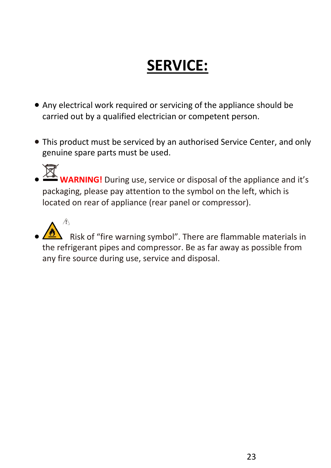# SERVICE:

- Any electrical work required or servicing of the appliance should be carried out by a qualified electrician or competent person.
- This product must be serviced by an authorised Service Center, and only genuine spare parts must be used.

RNING! During use, service or disposal of the appliance and it's packaging, please pay attention to the symbol on the left, which is located on rear of appliance (rear panel or compressor).

 $\mathcal{N}$  Risk of "fire warning symbol". There are flammable materials in the refrigerant pipes and compressor. Be as far away as possible from any fire source during use, service and disposal.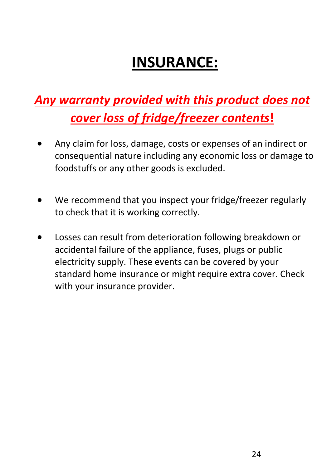# INSURANCE:

## *Any warranty provided with this product does not cover loss of fridge/freezer contents*!

- Any claim for loss, damage, costs or expenses of an indirect or consequential nature including any economic loss or damage to foodstuffs or any other goods is excluded.
- We recommend that you inspect your fridge/freezer regularly to check that it is working correctly.
- Losses can result from deterioration following breakdown or accidental failure of the appliance, fuses, plugs or public electricity supply. These events can be covered by your standard home insurance or might require extra cover. Check with your insurance provider.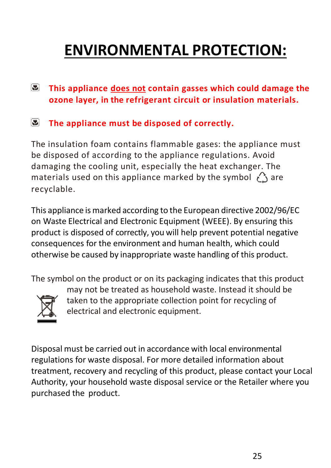# ENVIRONMENTAL PROTECTION:

- $\mathbf{E}$ This appliance does not contain gasses which could damage the ozone layer, in the refrigerant circuit or insulation materials.
- $\mathbf{r}$ The appliance must be disposed of correctly.

The insulation foam contains flammable gases: the appliance must be disposed of according to the appliance regulations. Avoid damaging the cooling unit, especially the heat exchanger. The materials used on this appliance marked by the symbol  $\bigcirc$  are recyclable.

This appliance is marked according to the European directive 2002/96/EC on Waste Electrical and Electronic Equipment (WEEE). By ensuring this product is disposed of correctly, you will help prevent potential negative consequences for the environment and human health, which could otherwise be caused by inappropriate waste handling of this product.

The symbol on the product or on its packaging indicates that this product



may not be treated as household waste. Instead it should be taken to the appropriate collection point for recycling of electrical and electronic equipment.

Disposal must be carried out in accordance with local environmental regulations for waste disposal. For more detailed information about treatment, recovery and recycling of this product, please contact your Local Authority, your household waste disposal service or the Retailer where you purchased the product.